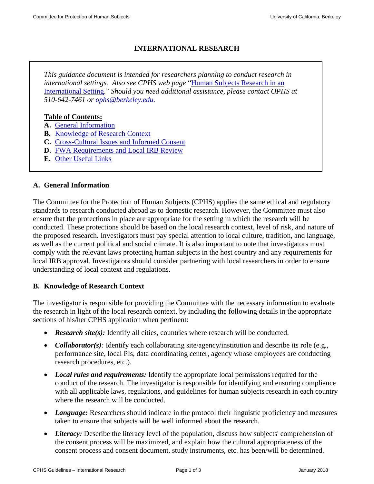# **INTERNATIONAL RESEARCH**

*This guidance document is intended for researchers planning to conduct research in international settings. Also see CPHS web page* ["Human Subjects Research in an](http://cphs.berkeley.edu/international.html)  [International Setting.](http://cphs.berkeley.edu/international.html)" *Should you need additional assistance, please contact OPHS at 510-642-7461 or [ophs@berkeley.edu.](mailto:ophs@berkeley.edu)*

## **Table of Contents:**

- **A.** [General Information](#page-0-0)
- <span id="page-0-0"></span>**B.** [Knowledge of Research Context](#page-0-1)
- **C.** [Cross-Cultural Issues and](#page-1-0) Informed Consent
- **D.** FWA Requirements [and Local IRB Review](#page-2-0)
- **E.** [Other Useful Links](#page-2-1)

#### **A. General Information**

The Committee for the Protection of Human Subjects (CPHS) applies the same ethical and regulatory standards to research conducted abroad as to domestic research. However, the Committee must also ensure that the protections in place are appropriate for the setting in which the research will be conducted. These protections should be based on the local research context, level of risk, and nature of the proposed research. Investigators must pay special attention to local culture, tradition, and language, as well as the current political and social climate. It is also important to note that investigators must comply with the relevant laws protecting human subjects in the host country and any requirements for local IRB approval. Investigators should consider partnering with local researchers in order to ensure understanding of local context and regulations.

#### <span id="page-0-1"></span>**B. Knowledge of Research Context**

The investigator is responsible for providing the Committee with the necessary information to evaluate the research in light of the local research context, by including the following details in the appropriate sections of his/her CPHS application when pertinent:

- *Research site(s):* Identify all cities, countries where research will be conducted.
- *Collaborator(s)*: Identify each collaborating site/agency/institution and describe its role (e.g., performance site, local PIs, data coordinating center, agency whose employees are conducting research procedures, etc.).
- *Local rules and requirements:* Identify the appropriate local permissions required for the conduct of the research. The investigator is responsible for identifying and ensuring compliance with all applicable laws, regulations, and guidelines for human subjects research in each country where the research will be conducted.
- *Language:* Researchers should indicate in the protocol their linguistic proficiency and measures taken to ensure that subjects will be well informed about the research.
- Literacy: Describe the literacy level of the population, discuss how subjects' comprehension of the consent process will be maximized, and explain how the cultural appropriateness of the consent process and consent document, study instruments, etc. has been/will be determined.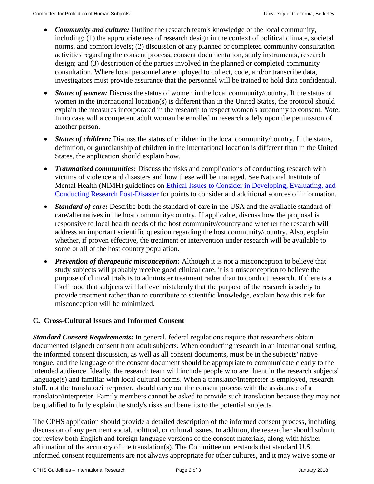- *Community and culture:* Outline the research team's knowledge of the local community, including: (1) the appropriateness of research design in the context of political climate, societal norms, and comfort levels; (2) discussion of any planned or completed community consultation activities regarding the consent process, consent documentation, study instruments, research design; and (3) description of the parties involved in the planned or completed community consultation. Where local personnel are employed to collect, code, and/or transcribe data, investigators must provide assurance that the personnel will be trained to hold data confidential.
- *Status of women:* Discuss the status of women in the local community/country. If the status of women in the international location(s) is different than in the United States, the protocol should explain the measures incorporated in the research to respect women's autonomy to consent. *Note*: In no case will a competent adult woman be enrolled in research solely upon the permission of another person.
- *Status of children:* Discuss the status of children in the local community/country. If the status, definition, or guardianship of children in the international location is different than in the United States, the application should explain how.
- *Traumatized communities:* Discuss the risks and complications of conducting research with victims of violence and disasters and how these will be managed. See National Institute of Mental Health (NIMH) guidelines on [Ethical Issues to Consider in Developing, Evaluating, and](http://www.nimh.nih.gov/funding/grant-writing-and-application-process/ethical-issues-to-consider-in-developing-evaluating-and-conducting-research-post-disaster.shtml)  [Conducting Research Post-Disaster](http://www.nimh.nih.gov/funding/grant-writing-and-application-process/ethical-issues-to-consider-in-developing-evaluating-and-conducting-research-post-disaster.shtml) for points to consider and additional sources of information.
- *Standard of care:* Describe both the standard of care in the USA and the available standard of care/alternatives in the host community/country. If applicable, discuss how the proposal is responsive to local health needs of the host community/country and whether the research will address an important scientific question regarding the host community/country. Also, explain whether, if proven effective, the treatment or intervention under research will be available to some or all of the host country population.
- *Prevention of therapeutic misconception:* Although it is not a misconception to believe that study subjects will probably receive good clinical care, it is a misconception to believe the purpose of clinical trials is to administer treatment rather than to conduct research. If there is a likelihood that subjects will believe mistakenly that the purpose of the research is solely to provide treatment rather than to contribute to scientific knowledge, explain how this risk for misconception will be minimized.

# <span id="page-1-0"></span>**C. Cross-Cultural Issues and Informed Consent**

*Standard Consent Requirements:* In general, federal regulations require that researchers obtain documented (signed) consent from adult subjects. When conducting research in an international setting, the informed consent discussion, as well as all consent documents, must be in the subjects' native tongue, and the language of the consent document should be appropriate to communicate clearly to the intended audience. Ideally, the research team will include people who are fluent in the research subjects' language(s) and familiar with local cultural norms. When a translator/interpreter is employed, research staff, not the translator/interpreter, should carry out the consent process with the assistance of a translator/interpreter. Family members cannot be asked to provide such translation because they may not be qualified to fully explain the study's risks and benefits to the potential subjects.

The CPHS application should provide a detailed description of the informed consent process, including discussion of any pertinent social, political, or cultural issues. In addition, the researcher should submit for review both English and foreign language versions of the consent materials, along with his/her affirmation of the accuracy of the translation(s). The Committee understands that standard U.S. informed consent requirements are not always appropriate for other cultures, and it may waive some or